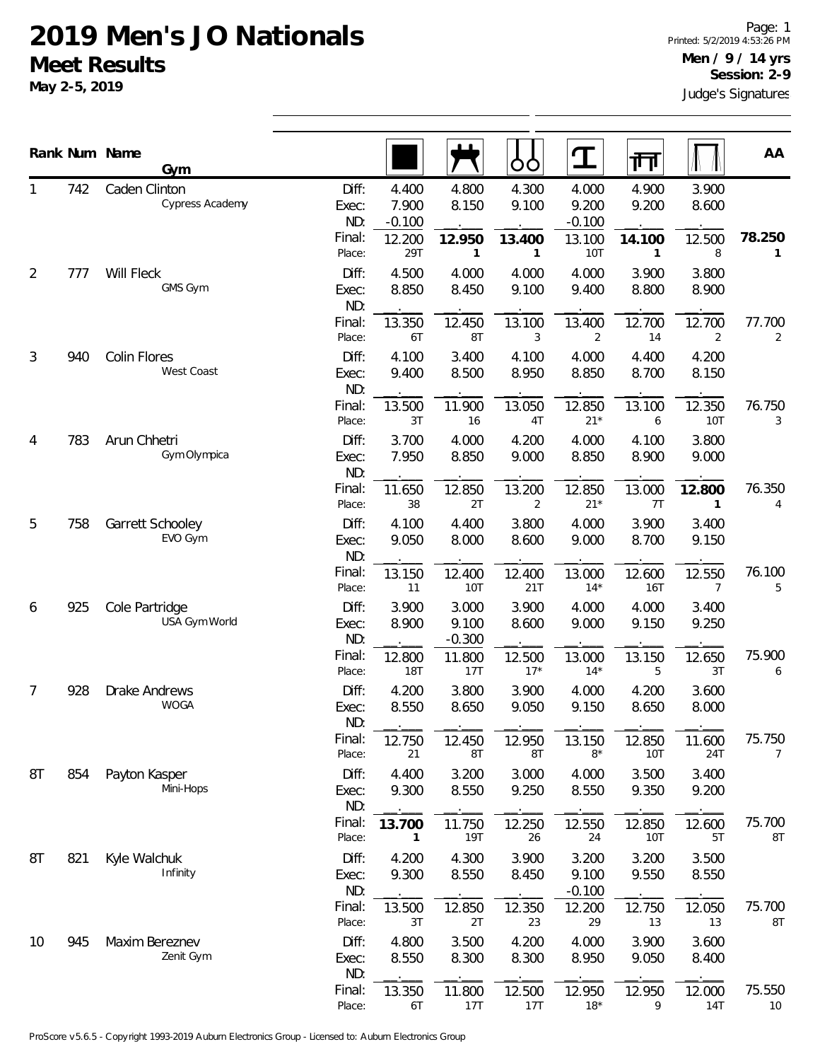|                |     | Rank Num Name<br>Gym             |                                 |                                      |                             | OC                       |                                      | गा                            |                          | AA                       |
|----------------|-----|----------------------------------|---------------------------------|--------------------------------------|-----------------------------|--------------------------|--------------------------------------|-------------------------------|--------------------------|--------------------------|
|                | 742 | Caden Clinton<br>Cypress Academy | Diff:<br>Exec:<br>ND:<br>Final: | 4.400<br>7.900<br>$-0.100$<br>12.200 | 4.800<br>8.150<br>12.950    | 4.300<br>9.100<br>13.400 | 4.000<br>9.200<br>$-0.100$<br>13.100 | 4.900<br>9.200<br>14.100      | 3.900<br>8.600<br>12.500 | 78.250                   |
| $\overline{2}$ | 777 | Will Fleck<br>GMS Gym            | Place:<br>Diff:<br>Exec:        | 29T<br>4.500<br>8.850                | 1<br>4.000<br>8.450         | 1<br>4.000<br>9.100      | 10T<br>4.000<br>9.400                | 1<br>3.900<br>8.800           | 8<br>3.800<br>8.900      | 1                        |
|                |     |                                  | ND:<br>Final:<br>Place:         | 13.350<br>6T                         | 12.450<br>8T                | 13.100<br>3              | 13.400<br>2                          | 12.700<br>14                  | 12.700<br>2              | 77.700<br>$\overline{2}$ |
| 3              | 940 | Colin Flores<br>West Coast       | Diff:<br>Exec:<br>ND:           | 4.100<br>9.400                       | 3.400<br>8.500              | 4.100<br>8.950           | 4.000<br>8.850                       | 4.400<br>8.700                | 4.200<br>8.150           |                          |
|                |     |                                  | Final:<br>Place:                | 13.500<br>3T                         | 11.900<br>16                | 13.050<br>4T             | 12.850<br>$21*$                      | 13.100<br>6                   | 12.350<br>10T            | 76.750<br>3              |
| 4              | 783 | Arun Chhetri<br>Gym Olympica     | Diff:<br>Exec:<br>ND:           | 3.700<br>7.950                       | 4.000<br>8.850              | 4.200<br>9.000           | 4.000<br>8.850                       | 4.100<br>8.900                | 3.800<br>9.000           |                          |
| 5              | 758 | Garrett Schooley                 | Final:<br>Place:<br>Diff:       | 11.650<br>38<br>4.100                | 12.850<br>2T<br>4.400       | 13.200<br>2<br>3.800     | 12.850<br>$21*$<br>4.000             | 13.000<br>7T<br>3.900         | 12.800<br>1<br>3.400     | 76.350<br>4              |
|                |     | EVO Gym                          | Exec:<br>ND:                    | 9.050                                | 8.000                       | 8.600                    | 9.000                                | 8.700                         | 9.150                    |                          |
| 6              | 925 | Cole Partridge                   | Final:<br>Place:<br>Diff:       | 13.150<br>11<br>3.900                | 12.400<br>10T<br>3.000      | 12.400<br>21T<br>3.900   | 13.000<br>$14*$<br>4.000             | 12.600<br><b>16T</b><br>4.000 | 12.550<br>7<br>3.400     | 76.100<br>5              |
|                |     | USA Gym World                    | Exec:<br>ND:<br>Final:          | 8.900<br>12.800                      | 9.100<br>$-0.300$<br>11.800 | 8.600<br>12.500          | 9.000<br>13.000                      | 9.150<br>13.150               | 9.250<br>12.650          | 75.900                   |
| 7              | 928 | Drake Andrews                    | Place:<br>Diff:                 | <b>18T</b><br>4.200                  | 17T<br>3.800                | $17*$<br>3.900           | $14*$<br>4.000                       | 5<br>4.200                    | 3T<br>3.600              | 6                        |
|                |     | <b>WOGA</b>                      | Exec:<br>ND:<br>Final:          | 8.550<br>12.750                      | 8.650<br>12.450             | 9.050<br>12.950          | 9.150<br>13.150                      | 8.650<br>12.850               | 8.000<br>11.600          | 75.750                   |
| 8T             | 854 | Payton Kasper<br>Mini-Hops       | Place:<br>Diff:<br>Exec:        | 21<br>4.400<br>9.300                 | 8Τ<br>3.200<br>8.550        | 8T<br>3.000<br>9.250     | $8*$<br>4.000<br>8.550               | 10T<br>3.500<br>9.350         | 24T<br>3.400<br>9.200    | $\overline{7}$           |
|                |     |                                  | ND:<br>Final:<br>Place:         | 13.700<br>1                          | 11.750<br><b>19T</b>        | 12.250<br>26             | 12.550<br>24                         | 12.850<br>10T                 | 12.600<br>5T             | 75.700<br>8T             |
| 8T             | 821 | Kyle Walchuk<br>Infinity         | Diff:<br>Exec:<br>ND:           | 4.200<br>9.300                       | 4.300<br>8.550              | 3.900<br>8.450           | 3.200<br>9.100<br>$-0.100$           | 3.200<br>9.550                | 3.500<br>8.550           |                          |
|                |     |                                  | Final:<br>Place:                | 13.500<br>3T                         | 12.850<br>2T                | 12.350<br>23             | 12.200<br>29                         | 12.750<br>13                  | 12.050<br>13             | 75.700<br>8T             |
| 10             | 945 | Maxim Bereznev<br>Zenit Gym      | Diff:<br>Exec:<br>ND:           | 4.800<br>8.550                       | 3.500<br>8.300              | 4.200<br>8.300           | 4.000<br>8.950                       | 3.900<br>9.050                | 3.600<br>8.400           |                          |
|                |     |                                  | Final:<br>Place:                | 13.350<br>6T                         | 11.800<br>17T               | 12.500<br>17T            | 12.950<br>$18*$                      | 12.950<br>9                   | 12.000<br>14T            | 75.550<br>10             |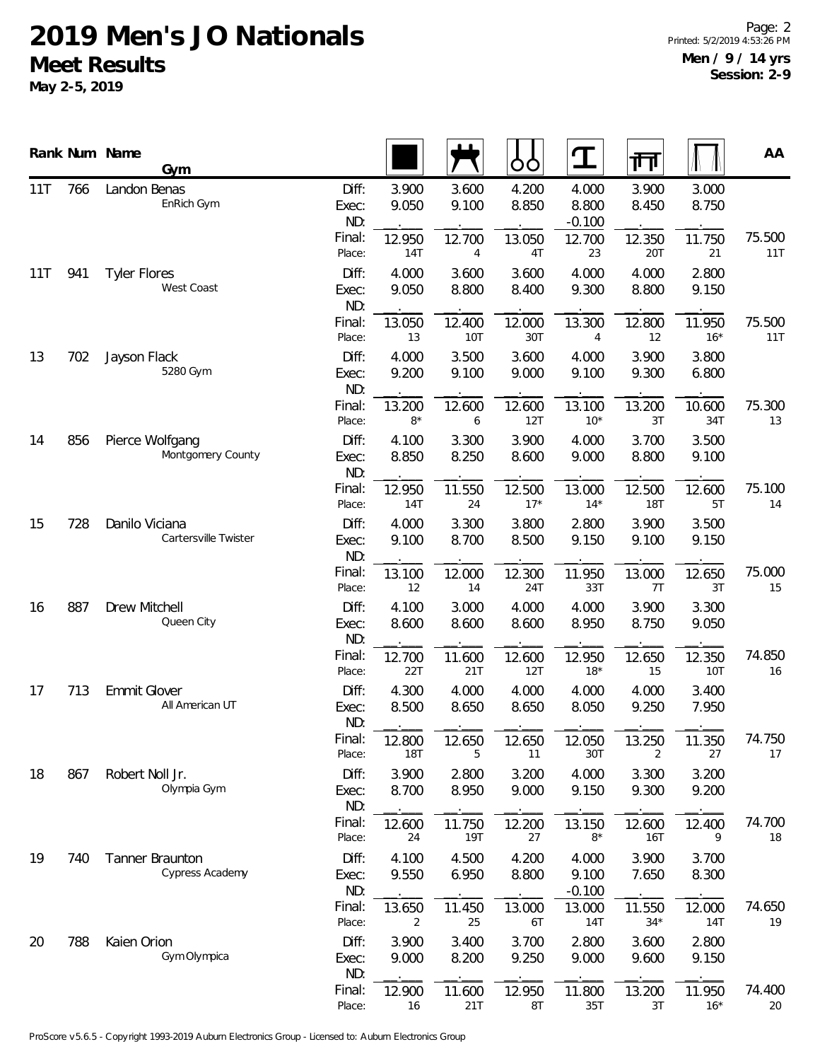|     |     | Rank Num Name<br>Gym                   |                       |                          |                      | ŌÒ              | T                          | 帀               |                 | AA            |
|-----|-----|----------------------------------------|-----------------------|--------------------------|----------------------|-----------------|----------------------------|-----------------|-----------------|---------------|
| 11T | 766 | Landon Benas<br>EnRich Gym             | Diff:<br>Exec:<br>ND: | 3.900<br>9.050           | 3.600<br>9.100       | 4.200<br>8.850  | 4.000<br>8.800<br>$-0.100$ | 3.900<br>8.450  | 3.000<br>8.750  |               |
|     |     |                                        | Final:<br>Place:      | 12.950<br>14T            | 12.700<br>4          | 13.050<br>4T    | 12.700<br>23               | 12.350<br>20T   | 11.750<br>21    | 75.500<br>11T |
| 11T | 941 | <b>Tyler Flores</b><br>West Coast      | Diff:<br>Exec:<br>ND: | 4.000<br>9.050           | 3.600<br>8.800       | 3.600<br>8.400  | 4.000<br>9.300             | 4.000<br>8.800  | 2.800<br>9.150  |               |
|     |     |                                        | Final:<br>Place:      | 13.050<br>13             | 12.400<br><b>10T</b> | 12.000<br>30T   | 13.300<br>4                | 12.800<br>12    | 11.950<br>$16*$ | 75.500<br>11T |
| 13  | 702 | Jayson Flack<br>5280 Gym               | Diff:<br>Exec:<br>ND: | 4.000<br>9.200           | 3.500<br>9.100       | 3.600<br>9.000  | 4.000<br>9.100             | 3.900<br>9.300  | 3.800<br>6.800  |               |
|     |     |                                        | Final:<br>Place:      | 13.200<br>$8*$           | 12.600<br>6          | 12.600<br>12T   | 13.100<br>$10*$            | 13.200<br>3T    | 10.600<br>34T   | 75.300<br>13  |
| 14  | 856 | Pierce Wolfgang<br>Montgomery County   | Diff:<br>Exec:<br>ND: | 4.100<br>8.850           | 3.300<br>8.250       | 3.900<br>8.600  | 4.000<br>9.000             | 3.700<br>8.800  | 3.500<br>9.100  |               |
|     |     |                                        | Final:<br>Place:      | 12.950<br>14T            | 11.550<br>24         | 12.500<br>$17*$ | 13.000<br>$14*$            | 12.500<br>18T   | 12.600<br>5T    | 75.100<br>14  |
| 15  | 728 | Danilo Viciana<br>Cartersville Twister | Diff:<br>Exec:<br>ND: | 4.000<br>9.100           | 3.300<br>8.700       | 3.800<br>8.500  | 2.800<br>9.150             | 3.900<br>9.100  | 3.500<br>9.150  |               |
|     |     |                                        | Final:<br>Place:      | 13.100<br>12             | 12.000<br>14         | 12.300<br>24T   | 11.950<br>33T              | 13.000<br>7T    | 12.650<br>3T    | 75.000<br>15  |
| 16  | 887 | Drew Mitchell<br>Queen City            | Diff:<br>Exec:<br>ND: | 4.100<br>8.600           | 3.000<br>8.600       | 4.000<br>8.600  | 4.000<br>8.950             | 3.900<br>8.750  | 3.300<br>9.050  |               |
|     |     |                                        | Final:<br>Place:      | 12.700<br>22T            | 11.600<br>21T        | 12.600<br>12T   | 12.950<br>$18*$            | 12.650<br>15    | 12.350<br>10T   | 74.850<br>16  |
| 17  | 713 | <b>Emmit Glover</b><br>All American UT | Diff:<br>Exec:<br>ND: | 4.300<br>8.500           | 4.000<br>8.650       | 4.000<br>8.650  | 4.000<br>8.050             | 4.000<br>9.250  | 3.400<br>7.950  |               |
|     |     |                                        | Final:<br>Place:      | 12.800<br><b>18T</b>     | 12.650<br>5          | 12.650<br>11    | 12.050<br>30T              | 13.250<br>2     | 11.350<br>27    | 74.750<br>17  |
| 18  | 867 | Robert Noll Jr.<br>Olympia Gym         | Diff:<br>Exec:<br>ND: | 3.900<br>8.700           | 2.800<br>8.950       | 3.200<br>9.000  | 4.000<br>9.150             | 3.300<br>9.300  | 3.200<br>9.200  |               |
|     |     |                                        | Final:<br>Place:      | 12.600<br>24             | 11.750<br><b>19T</b> | 12.200<br>27    | 13.150<br>$8*$             | 12.600<br>16T   | 12.400<br>9     | 74.700<br>18  |
| 19  | 740 | Tanner Braunton<br>Cypress Academy     | Diff:<br>Exec:<br>ND: | 4.100<br>9.550           | 4.500<br>6.950       | 4.200<br>8.800  | 4.000<br>9.100<br>$-0.100$ | 3.900<br>7.650  | 3.700<br>8.300  |               |
|     |     |                                        | Final:<br>Place:      | 13.650<br>$\overline{2}$ | 11.450<br>25         | 13.000<br>6T    | 13.000<br>14T              | 11.550<br>$34*$ | 12.000<br>14T   | 74.650<br>19  |
| 20  | 788 | Kaien Orion<br>Gym Olympica            | Diff:<br>Exec:<br>ND: | 3.900<br>9.000           | 3.400<br>8.200       | 3.700<br>9.250  | 2.800<br>9.000             | 3.600<br>9.600  | 2.800<br>9.150  |               |
|     |     |                                        | Final:<br>Place:      | 12.900<br>16             | 11.600<br>21T        | 12.950<br>8T    | 11.800<br>35T              | 13.200<br>3T    | 11.950<br>$16*$ | 74.400<br>20  |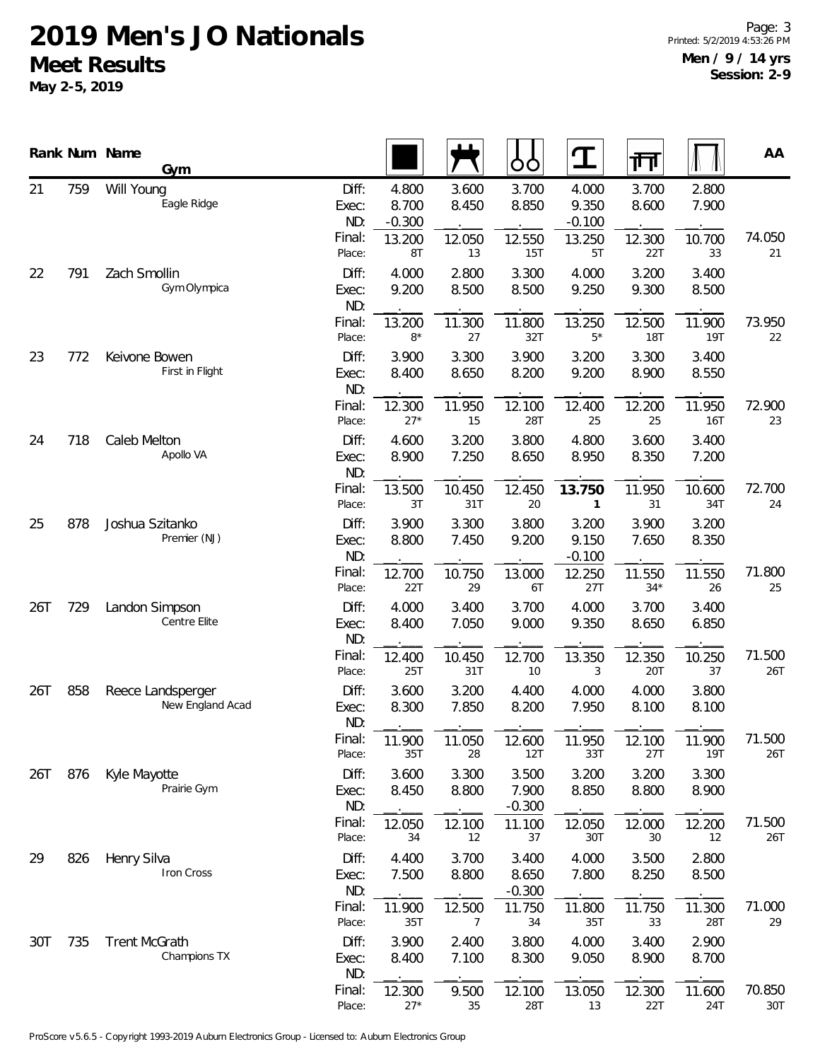|     |     | Rank Num Name        | Gym                                   |                                           |                                            |                                | ŌÒ                              | T                                          | गा                              |                                | AA            |
|-----|-----|----------------------|---------------------------------------|-------------------------------------------|--------------------------------------------|--------------------------------|---------------------------------|--------------------------------------------|---------------------------------|--------------------------------|---------------|
| 21  | 759 | Will Young           | Eagle Ridge                           | Diff:<br>Exec:<br>ND:<br>Final:<br>Place: | 4.800<br>8.700<br>$-0.300$<br>13.200<br>8T | 3.600<br>8.450<br>12.050<br>13 | 3.700<br>8.850<br>12.550<br>15T | 4.000<br>9.350<br>$-0.100$<br>13.250<br>5T | 3.700<br>8.600<br>12.300<br>22T | 2.800<br>7.900<br>10.700<br>33 | 74.050<br>21  |
| 22  | 791 | Zach Smollin         | Gym Olympica                          | Diff:<br>Exec:<br>ND:                     | 4.000<br>9.200                             | 2.800<br>8.500                 | 3.300<br>8.500                  | 4.000<br>9.250                             | 3.200<br>9.300                  | 3.400<br>8.500                 |               |
|     |     |                      |                                       | Final:<br>Place:                          | 13.200<br>$8*$                             | 11.300<br>27                   | 11.800<br>32T                   | 13.250<br>$5*$                             | 12.500<br><b>18T</b>            | 11.900<br><b>19T</b>           | 73.950<br>22  |
| 23  | 772 | Keivone Bowen        | First in Flight                       | Diff:<br>Exec:<br>ND:                     | 3.900<br>8.400                             | 3.300<br>8.650                 | 3.900<br>8.200                  | 3.200<br>9.200                             | 3.300<br>8.900                  | 3.400<br>8.550                 |               |
|     |     |                      |                                       | Final:<br>Place:                          | 12.300<br>$27*$                            | 11.950<br>15                   | 12.100<br>28T                   | 12.400<br>25                               | 12.200<br>25                    | 11.950<br><b>16T</b>           | 72.900<br>23  |
| 24  | 718 | Caleb Melton         | Apollo VA                             | Diff:<br>Exec:<br>ND:                     | 4.600<br>8.900                             | 3.200<br>7.250                 | 3.800<br>8.650                  | 4.800<br>8.950                             | 3.600<br>8.350                  | 3.400<br>7.200                 |               |
|     |     |                      |                                       | Final:<br>Place:                          | 13.500<br>3T                               | 10.450<br>31T                  | 12.450<br>20                    | 13.750<br>1                                | 11.950<br>31                    | 10.600<br>34T                  | 72.700<br>24  |
| 25  | 878 | Joshua Szitanko      | Premier (NJ)                          | Diff:<br>Exec:<br>ND:                     | 3.900<br>8.800                             | 3.300<br>7.450                 | 3.800<br>9.200                  | 3.200<br>9.150<br>$-0.100$                 | 3.900<br>7.650                  | 3.200<br>8.350                 |               |
|     |     |                      |                                       | Final:<br>Place:                          | 12.700<br>22T                              | 10.750<br>29                   | 13.000<br>6T                    | 12.250<br>27T                              | 11.550<br>$34*$                 | 11.550<br>26                   | 71.800<br>25  |
| 26T | 729 |                      | Landon Simpson<br>Centre Elite        | Diff:<br>Exec:<br>ND:                     | 4.000<br>8.400                             | 3.400<br>7.050                 | 3.700<br>9.000                  | 4.000<br>9.350                             | 3.700<br>8.650                  | 3.400<br>6.850                 |               |
|     |     |                      |                                       | Final:<br>Place:                          | 12.400<br>25T                              | 10.450<br>31T                  | 12.700<br>10                    | 13.350<br>3                                | 12.350<br>20T                   | 10.250<br>37                   | 71.500<br>26T |
| 26T | 858 |                      | Reece Landsperger<br>New England Acad | Diff:<br>Exec:<br>ND:                     | 3.600<br>8.300                             | 3.200<br>7.850                 | 4.400<br>8.200                  | 4.000<br>7.950                             | 4.000<br>8.100                  | 3.800<br>8.100                 |               |
|     |     |                      |                                       | Final:<br>Place:                          | 11.900<br>35T                              | 11.050<br>28                   | 12.600<br>12T                   | 11.950<br>33T                              | 12.100<br>27T                   | 11.900<br>19T                  | 71.500<br>26T |
| 26T | 876 | Kyle Mayotte         | Prairie Gym                           | Diff:<br>Exec:<br>ND:                     | 3.600<br>8.450                             | 3.300<br>8.800                 | 3.500<br>7.900<br>$-0.300$      | 3.200<br>8.850                             | 3.200<br>8.800                  | 3.300<br>8.900                 |               |
|     |     |                      |                                       | Final:<br>Place:                          | 12.050<br>34                               | 12.100<br>12                   | 11.100<br>37                    | 12.050<br>30T                              | 12.000<br>30                    | 12.200<br>12                   | 71.500<br>26T |
| 29  | 826 | Henry Silva          | Iron Cross                            | Diff:<br>Exec:<br>ND:                     | 4.400<br>7.500                             | 3.700<br>8.800                 | 3.400<br>8.650<br>$-0.300$      | 4.000<br>7.800                             | 3.500<br>8.250                  | 2.800<br>8.500                 |               |
|     |     |                      |                                       | Final:<br>Place:                          | 11.900<br>35T                              | 12.500<br>7                    | 11.750<br>34                    | 11.800<br>35T                              | 11.750<br>33                    | 11.300<br>28T                  | 71.000<br>29  |
| 30T | 735 | <b>Trent McGrath</b> | Champions TX                          | Diff:<br>Exec:<br>ND:                     | 3.900<br>8.400                             | 2.400<br>7.100                 | 3.800<br>8.300                  | 4.000<br>9.050                             | 3.400<br>8.900                  | 2.900<br>8.700                 |               |
|     |     |                      |                                       | Final:<br>Place:                          | 12.300<br>$27*$                            | 9.500<br>35                    | 12.100<br>28T                   | 13.050<br>13                               | 12.300<br>22T                   | 11.600<br>24T                  | 70.850<br>30T |